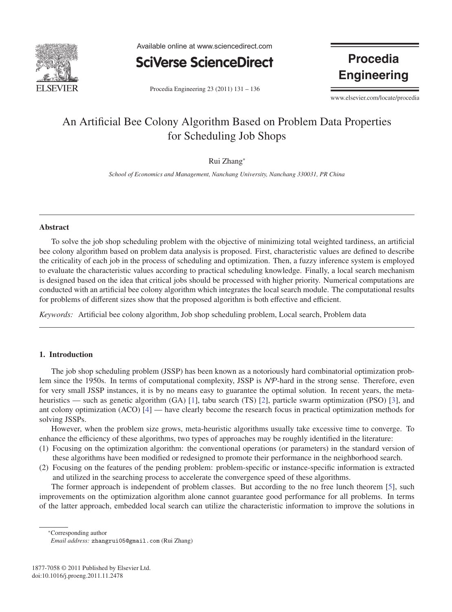

Available online at www.sciencedirect.com



**Procedia Engineering** 

Procedia Engineering 23 (2011) 131 – 136

www.elsevier.com/locate/procedia

# An Artificial Bee Colony Algorithm Based on Problem Data Properties for Scheduling Job Shops

## Rui Zhang<sup>∗</sup>

*School of Economics and Management, Nanchang University, Nanchang 330031, PR China*

#### Abstract

To solve the job shop scheduling problem with the objective of minimizing total weighted tardiness, an artificial bee colony algorithm based on problem data analysis is proposed. First, characteristic values are defined to describe the criticality of each job in the process of scheduling and optimization. Then, a fuzzy inference system is employed to evaluate the characteristic values according to practical scheduling knowledge. Finally, a local search mechanism is designed based on the idea that critical jobs should be processed with higher priority. Numerical computations are conducted with an artificial bee colony algorithm which integrates the local search module. The computational results for problems of different sizes show that the proposed algorithm is both effective and efficient.

*Keywords:* Artificial bee colony algorithm, Job shop scheduling problem, Local search, Problem data

### 1. Introduction

The job shop scheduling problem (JSSP) has been known as a notoriously hard combinatorial optimization problem since the 1950s. In terms of computational complexity, JSSP is NP-hard in the strong sense. Therefore, even for very small JSSP instances, it is by no means easy to guarantee the optimal solution. In recent years, the metaheuristics — such as genetic algorithm (GA) [1], tabu search (TS) [2], particle swarm optimization (PSO) [3], and ant colony optimization (ACO) [4] — have clearly become the research focus in practical optimization methods for solving JSSPs.

However, when the problem size grows, meta-heuristic algorithms usually take excessive time to converge. To enhance the efficiency of these algorithms, two types of approaches may be roughly identified in the literature:

- (1) Focusing on the optimization algorithm: the conventional operations (or parameters) in the standard version of these algorithms have been modified or redesigned to promote their performance in the neighborhood search.
- (2) Focusing on the features of the pending problem: problem-specific or instance-specific information is extracted and utilized in the searching process to accelerate the convergence speed of these algorithms.

The former approach is independent of problem classes. But according to the no free lunch theorem [5], such improvements on the optimization algorithm alone cannot guarantee good performance for all problems. In terms of the latter approach, embedded local search can utilize the characteristic information to improve the solutions in

∗Corresponding author

*Email address:* zhangrui05@gmail.com (Rui Zhang)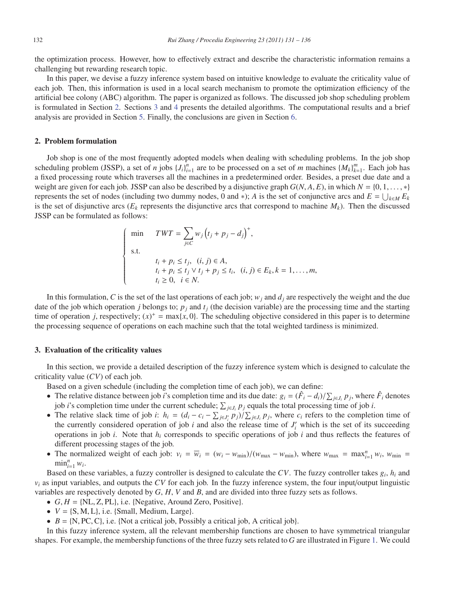the optimization process. However, how to effectively extract and describe the characteristic information remains a challenging but rewarding research topic.

In this paper, we devise a fuzzy inference system based on intuitive knowledge to evaluate the criticality value of each job. Then, this information is used in a local search mechanism to promote the optimization efficiency of the artificial bee colony (ABC) algorithm. The paper is organized as follows. The discussed job shop scheduling problem is formulated in Section 2. Sections 3 and 4 presents the detailed algorithms. The computational results and a brief analysis are provided in Section 5. Finally, the conclusions are given in Section 6.

#### 2. Problem formulation

Job shop is one of the most frequently adopted models when dealing with scheduling problems. In the job shop scheduling problem (JSSP), a set of *n* jobs  ${J_i}_{i=1}^n$  are to be processed on a set of *m* machines  ${M_k}_{k=1}^m$ . Each job has a fixed processing route which traverses all the machines in a predetermined order. Besides, a preset due date and a weight are given for each job. JSSP can also be described by a disjunctive graph  $G(N, A, E)$ , in which  $N = \{0, 1, \ldots, *\}$ represents the set of nodes (including two dummy nodes, 0 and ∗); *A* is the set of conjunctive arcs and  $E = \bigcup_{k \in M} E_k$ is the set of disjunctive arcs ( $E_k$  represents the disjunctive arcs that correspond to machine  $M_k$ ). Then the discussed JSSP can be formulated as follows:

$$
\begin{cases}\n\min \quad TWT = \sum_{j \in C} w_j (t_j + p_j - d_j)^+, \\
\text{s.t.} \\
t_i + p_i \le t_j, \quad (i, j) \in A, \\
t_i + p_i \le t_j \vee t_j + p_j \le t_i, \quad (i, j) \in E_k, k = 1, \dots, m, \\
t_i \ge 0, \quad i \in N.\n\end{cases}
$$

In this formulation, *C* is the set of the last operations of each job;  $w_j$  and  $d_j$  are respectively the weight and the due date of the job which operation *j* belongs to;  $p_j$  and  $t_j$  (the decision variable) are the processing time and the starting time of operation *j*, respectively;  $(x)^{+} = \max\{x, 0\}$ . The scheduling objective considered in this paper is to determine the processing sequence of operations on each machine such that the total weighted tardiness is minimized.

#### 3. Evaluation of the criticality values

In this section, we provide a detailed description of the fuzzy inference system which is designed to calculate the criticality value (*CV*) of each job.

Based on a given schedule (including the completion time of each job), we can define:

- The relative distance between job *i*'s completion time and its due date:  $g_i = (\hat{F}_i d_i)/\sum_{j \in J_i} p_j$ , where  $\hat{F}_i$  denotes job *i*'s completion time under the current schedule;  $\sum_{j \in J_i} p_j$  equals the total processing time of job *i*.
- The relative slack time of job *i*:  $h_i = (d_i c_i \sum_{j \in J'_i} p_j) / \sum_{j \in J_i} p_j$ , where  $c_i$  refers to the completion time of the currently considered operation of job  $i$  and also the release time of  $J_i'$  which is the set of its succeeding operations in job *i*. Note that  $h_i$  corresponds to specific operations of job *i* and thus reflects the features of different processing stages of the job.
- The normalized weight of each job:  $v_i = \overline{w_i} = (w_i w_{\text{min}})/(w_{\text{max}} w_{\text{min}})$ , where  $w_{\text{max}} = \max_{i=1}^n w_i$ ,  $w_{\text{min}} =$  $\min_{i=1}^n w_i$ .

Based on these variables, a fuzzy controller is designed to calculate the *CV*. The fuzzy controller takes *gi*, *hi* and  $v_i$  as input variables, and outputs the *CV* for each job. In the fuzzy inference system, the four input/output linguistic variables are respectively denoted by *G*, *H*, *V* and *B*, and are divided into three fuzzy sets as follows.

- $G, H = \{NL, Z, PL\}$ , i.e. {Negative, Around Zero, Positive}.
- $V = \{S, M, L\}$ , i.e. {Small, Medium, Large}.
- $B = \{N, PC, C\}$ , i.e. {Not a critical job, Possibly a critical job, A critical job}.

In this fuzzy inference system, all the relevant membership functions are chosen to have symmetrical triangular shapes. For example, the membership functions of the three fuzzy sets related to *G* are illustrated in Figure 1. We could